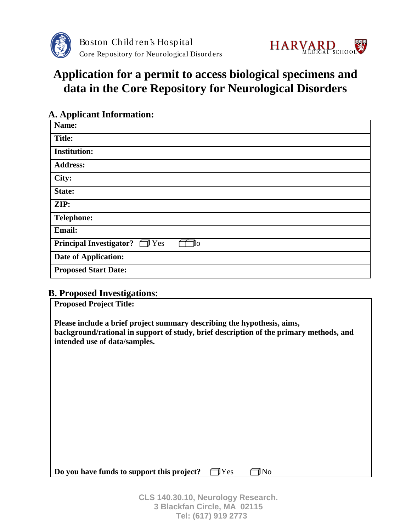



# **Application for a permit to access biological specimens and data in the Core Repository for Neurological Disorders**

| <b>A. Applicant Information:</b>                      |  |  |  |  |
|-------------------------------------------------------|--|--|--|--|
| Name:                                                 |  |  |  |  |
| <b>Title:</b>                                         |  |  |  |  |
| <b>Institution:</b>                                   |  |  |  |  |
| <b>Address:</b>                                       |  |  |  |  |
| City:                                                 |  |  |  |  |
| State:                                                |  |  |  |  |
| ZIP:                                                  |  |  |  |  |
| <b>Telephone:</b>                                     |  |  |  |  |
| Email:                                                |  |  |  |  |
| <b>Principal Investigator?</b><br>$\bigcap$ Yes<br>Iο |  |  |  |  |
| <b>Date of Application:</b>                           |  |  |  |  |
| <b>Proposed Start Date:</b>                           |  |  |  |  |

## **B. Proposed Investigations:**

| <b>Proposed Project Title:</b>                                                                                                                                                                     |  |  |  |  |
|----------------------------------------------------------------------------------------------------------------------------------------------------------------------------------------------------|--|--|--|--|
| Please include a brief project summary describing the hypothesis, aims,<br>background/rational in support of study, brief description of the primary methods, and<br>intended use of data/samples. |  |  |  |  |
|                                                                                                                                                                                                    |  |  |  |  |
|                                                                                                                                                                                                    |  |  |  |  |
|                                                                                                                                                                                                    |  |  |  |  |
| Do you have funds to support this project?<br>Yes<br>N <sub>0</sub>                                                                                                                                |  |  |  |  |